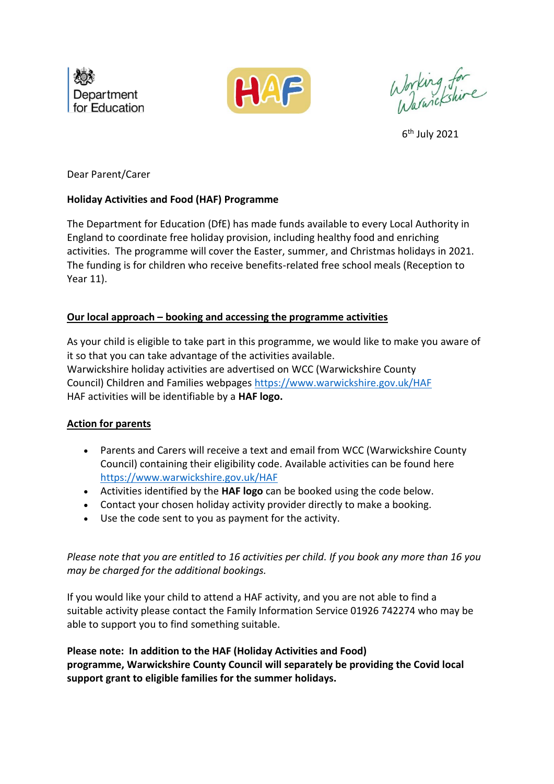



Working for<br>Warnickshire

6 th July 2021

Dear Parent/Carer

## **Holiday Activities and Food (HAF) Programme**

The Department for Education (DfE) has made funds available to every Local Authority in England to coordinate free holiday provision, including healthy food and enriching activities. The programme will cover the Easter, summer, and Christmas holidays in 2021. The funding is for children who receive benefits-related free school meals (Reception to Year 11).

## **Our local approach – booking and accessing the programme activities**

As your child is eligible to take part in this programme, we would like to make you aware of it so that you can take advantage of the activities available. Warwickshire holiday activities are advertised on WCC (Warwickshire County Council) Children and Families webpages<https://www.warwickshire.gov.uk/HAF> HAF activities will be identifiable by a **HAF logo.**

## **Action for parents**

- Parents and Carers will receive a text and email from WCC (Warwickshire County Council) containing their eligibility code. Available activities can be found here <https://www.warwickshire.gov.uk/HAF>
- Activities identified by the **HAF logo** can be booked using the code below.
- Contact your chosen holiday activity provider directly to make a booking.
- Use the code sent to you as payment for the activity.

*Please note that you are entitled to 16 activities per child. If you book any more than 16 you may be charged for the additional bookings.* 

If you would like your child to attend a HAF activity, and you are not able to find a suitable activity please contact the Family Information Service 01926 742274 who may be able to support you to find something suitable.

**Please note: In addition to the HAF (Holiday Activities and Food) programme, Warwickshire County Council will separately be providing the Covid local support grant to eligible families for the summer holidays.**